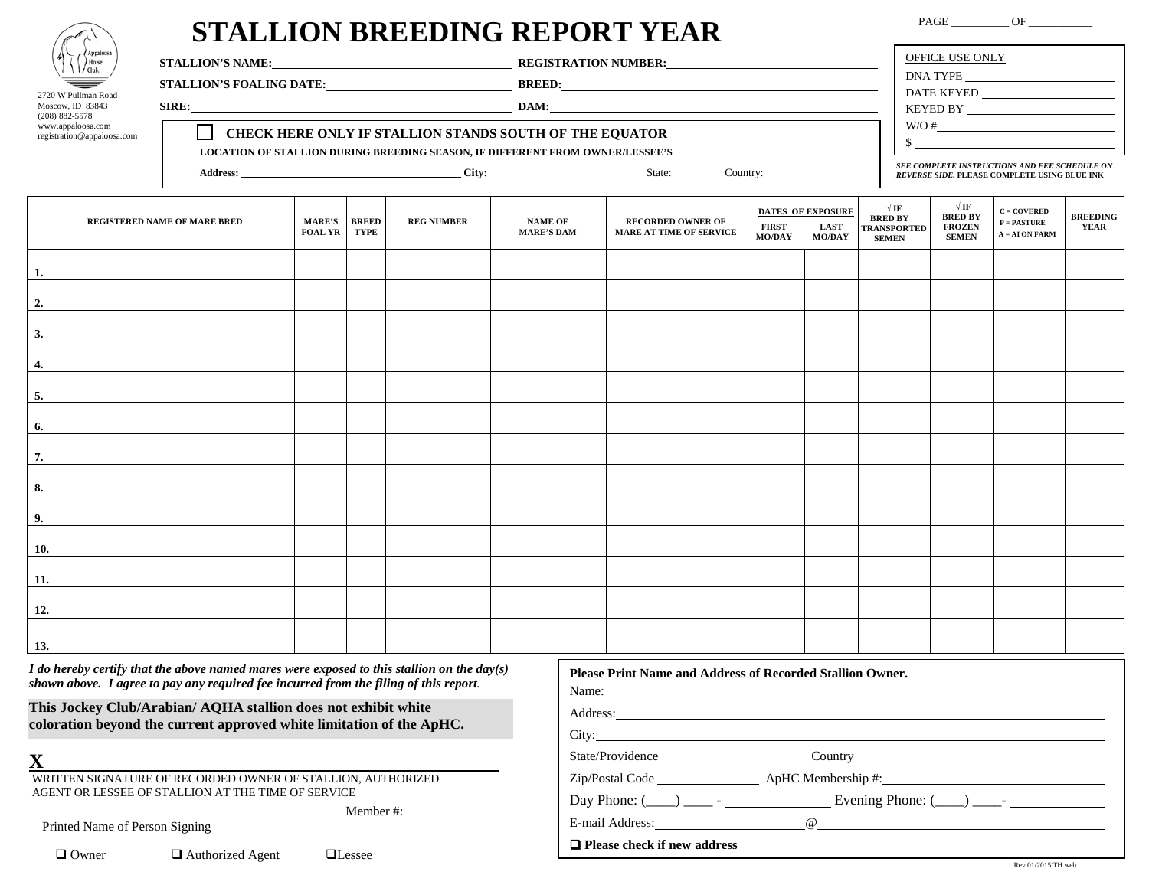| Appaloosa<br>Horse<br>Club. |
|-----------------------------|
|                             |
| 2720 W Pullman Road         |

2720 w Pullman Ro<br>Moscow, ID 83843

(208) 882-5578 www.appaloosa.com registration@appaloosa.com

## **STALLION BREEDING REPORT YEAR**

PAGE \_\_\_\_\_\_\_\_\_\_ OF \_\_\_\_\_\_\_\_\_\_\_\_

| <b>STALLION'S NAME:</b>                                                                                                                                                   | <b>REGISTRATION NUMBER:</b> | OFFICE USE ONLY<br>DNA TYPE                                                                           |
|---------------------------------------------------------------------------------------------------------------------------------------------------------------------------|-----------------------------|-------------------------------------------------------------------------------------------------------|
| <b>STALLION'S FOALING DATE:</b>                                                                                                                                           | <b>BREED:</b>               | DATE KEYED                                                                                            |
| SIRE:                                                                                                                                                                     | DAM:                        | KEYED BY                                                                                              |
| <b>CHECK HERE ONLY IF STALLION STANDS SOUTH OF THE EQUATOR</b><br><b>LOCATION OF STALLION DURING BREEDING SEASON, IF DIFFERENT FROM OWNER/LESSEE'S</b><br><b>Address:</b> | State:<br>Country:          | W/O#<br>SEE COMPLETE INSTRUCTIONS AND FEE SCHEDULE ON<br>REVERSE SIDE. PLEASE COMPLETE USING BLUE INK |

| REGISTERED NAME OF MARE BRED | MARE'S BREED<br><b>FOAL YR</b> | <b>TYPE</b> | <b>REG NUMBER</b> | <b>NAME OF</b><br><b>MARE'S DAM</b> | <b>RECORDED OWNER OF</b><br>MARE AT TIME OF SERVICE | <b>FIRST</b><br>MO/DAY | <b>DATES OF EXPOSURE</b><br>LAST<br><b>MO/DAY</b> | $\sqrt{\text{IF}}$<br>BRED BY<br>TRANSPORTED<br><b>SEMEN</b> | $\sqrt{\text{IF}}$<br><b>BRED BY</b><br><b>FROZEN</b><br><b>SEMEN</b> | $C = COVERED$<br>$\mathbf{P}=\mathbf{PASTURE}$<br>$\mathbf{A} = \mathbf{A}\mathbf{I}$ ON FARM | <b>BREEDING</b><br>YEAR |
|------------------------------|--------------------------------|-------------|-------------------|-------------------------------------|-----------------------------------------------------|------------------------|---------------------------------------------------|--------------------------------------------------------------|-----------------------------------------------------------------------|-----------------------------------------------------------------------------------------------|-------------------------|
| 1.                           |                                |             |                   |                                     |                                                     |                        |                                                   |                                                              |                                                                       |                                                                                               |                         |
| 2.                           |                                |             |                   |                                     |                                                     |                        |                                                   |                                                              |                                                                       |                                                                                               |                         |
| 3.                           |                                |             |                   |                                     |                                                     |                        |                                                   |                                                              |                                                                       |                                                                                               |                         |
| 4.                           |                                |             |                   |                                     |                                                     |                        |                                                   |                                                              |                                                                       |                                                                                               |                         |
| 5.                           |                                |             |                   |                                     |                                                     |                        |                                                   |                                                              |                                                                       |                                                                                               |                         |
| 6.                           |                                |             |                   |                                     |                                                     |                        |                                                   |                                                              |                                                                       |                                                                                               |                         |
| 7.                           |                                |             |                   |                                     |                                                     |                        |                                                   |                                                              |                                                                       |                                                                                               |                         |
| 8.                           |                                |             |                   |                                     |                                                     |                        |                                                   |                                                              |                                                                       |                                                                                               |                         |
| 9.                           |                                |             |                   |                                     |                                                     |                        |                                                   |                                                              |                                                                       |                                                                                               |                         |
| 10.                          |                                |             |                   |                                     |                                                     |                        |                                                   |                                                              |                                                                       |                                                                                               |                         |
| 11.                          |                                |             |                   |                                     |                                                     |                        |                                                   |                                                              |                                                                       |                                                                                               |                         |
| 12.                          |                                |             |                   |                                     |                                                     |                        |                                                   |                                                              |                                                                       |                                                                                               |                         |
| 13.                          |                                |             |                   |                                     |                                                     |                        |                                                   |                                                              |                                                                       |                                                                                               |                         |

*I do hereby certify that the above named mares were exposed to this stallion on the day(s) shown above. I agree to pay any required fee incurred from the filing of this report.* 

**This Jockey Club/Arabian/ AQHA stallion does not exhibit white coloration beyond the current approved white limitation of the ApHC.** 

**X**

WRITTEN SIGNATURE OF RECORDED OWNER OF STALLION, AUTHORIZED AGENT OR LESSEE OF STALLION AT THE TIME OF SERVICE

Member #:

Printed Name of Person Signing

 $\Box$  Owner  $\Box$  Authorized Agent  $\Box$  Lessee

| Name: $\frac{1}{\sqrt{1-\frac{1}{2}} \cdot \frac{1}{2}}$ |                                                                                                                                                                                                                                      |
|----------------------------------------------------------|--------------------------------------------------------------------------------------------------------------------------------------------------------------------------------------------------------------------------------------|
|                                                          | Address: <u>and the community of the community of the community of the community of the community of the community of the community of the community of the community of the community of the community of the community of the </u> |
|                                                          | $\frac{City:}{}$                                                                                                                                                                                                                     |
|                                                          | State/Providence___________________________Country______________________________                                                                                                                                                     |
|                                                          |                                                                                                                                                                                                                                      |
|                                                          | Day Phone: $(\_\_\_)$ $\_\_\_$ - $\_\_\_\_\_$ Evening Phone: $(\_\_)$ $\_\_\_\_\_$                                                                                                                                                   |
|                                                          |                                                                                                                                                                                                                                      |
|                                                          |                                                                                                                                                                                                                                      |

**Please Print Name and Address of Recorded Stallion Owner.**

## **Please check if new address**